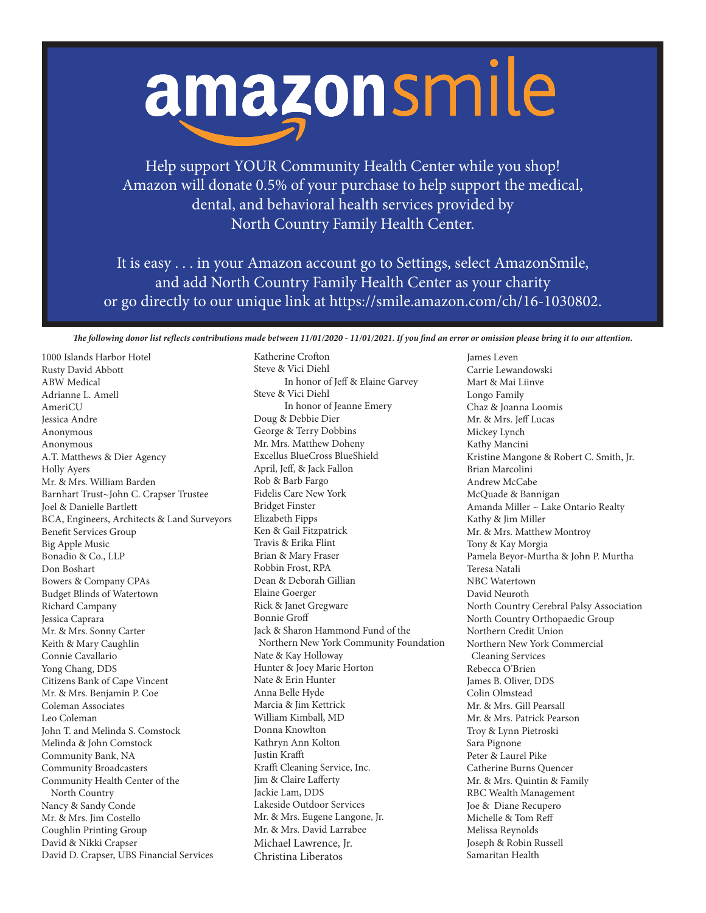## amazonsmile

Help support YOUR Community Health Center while you shop! Amazon will donate 0.5% of your purchase to help support the medical, dental, and behavioral health services provided by North Country Family Health Center.

It is easy . . . in your Amazon account go to Settings, select AmazonSmile, and add North Country Family Health Center as your charity or go directly to our unique link at https://smile.amazon.com/ch/16-1030802.

*The following donor list reflects contributions made between 11/01/2020 - 11/01/2021. If you find an error or omission please bring it to our attention.*

Katherine Crofton

1000 Islands Harbor Hotel Rusty David Abbott ABW Medical Adrianne L. Amell AmeriCU Jessica Andre Anonymous Anonymous A.T. Matthews & Dier Agency Holly Ayers Mr. & Mrs. William Barden Barnhart Trust~John C. Crapser Trustee Joel & Danielle Bartlett BCA, Engineers, Architects & Land Surveyors Benefit Services Group Big Apple Music Bonadio & Co., LLP Don Boshart Bowers & Company CPAs Budget Blinds of Watertown Richard Campany Jessica Caprara Mr. & Mrs. Sonny Carter Keith & Mary Caughlin Connie Cavallario Yong Chang, DDS Citizens Bank of Cape Vincent Mr. & Mrs. Benjamin P. Coe Coleman Associates Leo Coleman John T. and Melinda S. Comstock Melinda & John Comstock Community Bank, NA Community Broadcasters Community Health Center of the North Country Nancy & Sandy Conde Mr. & Mrs. Jim Costello Coughlin Printing Group David & Nikki Crapser David D. Crapser, UBS Financial Services

Steve & Vici Diehl In honor of Jeff & Elaine Garvey Steve & Vici Diehl In honor of Jeanne Emery Doug & Debbie Dier George & Terry Dobbins Mr. Mrs. Matthew Doheny Excellus BlueCross BlueShield April, Jeff, & Jack Fallon Rob & Barb Fargo Fidelis Care New York Bridget Finster Elizabeth Fipps Ken & Gail Fitzpatrick Travis & Erika Flint Brian & Mary Fraser Robbin Frost, RPA Dean & Deborah Gillian Elaine Goerger Rick & Janet Gregware Bonnie Groff Jack & Sharon Hammond Fund of the Northern New York Community Foundation Nate & Kay Holloway Hunter & Joey Marie Horton Nate & Erin Hunter Anna Belle Hyde Marcia & Jim Kettrick William Kimball, MD Donna Knowlton Kathryn Ann Kolton Justin Krafft Krafft Cleaning Service, Inc. Jim & Claire Lafferty Jackie Lam, DDS Lakeside Outdoor Services Mr. & Mrs. Eugene Langone, Jr. Mr. & Mrs. David Larrabee Michael Lawrence, Jr. Christina Liberatos

James Leven Carrie Lewandowski Mart & Mai Liinve Longo Family Chaz & Joanna Loomis Mr. & Mrs. Jeff Lucas Mickey Lynch Kathy Mancini Kristine Mangone & Robert C. Smith, Jr. Brian Marcolini Andrew McCabe McQuade & Bannigan Amanda Miller ~ Lake Ontario Realty Kathy & Jim Miller Mr. & Mrs. Matthew Montroy Tony & Kay Morgia Pamela Beyor-Murtha & John P. Murtha Teresa Natali NBC Watertown David Neuroth North Country Cerebral Palsy Association North Country Orthopaedic Group Northern Credit Union Northern New York Commercial Cleaning Services Rebecca O'Brien James B. Oliver, DDS Colin Olmstead Mr. & Mrs. Gill Pearsall Mr. & Mrs. Patrick Pearson Troy & Lynn Pietroski Sara Pignone Peter & Laurel Pike Catherine Burns Quencer Mr. & Mrs. Quintin & Family RBC Wealth Management Joe & Diane Recupero Michelle & Tom Reff Melissa Reynolds Joseph & Robin Russell Samaritan Health